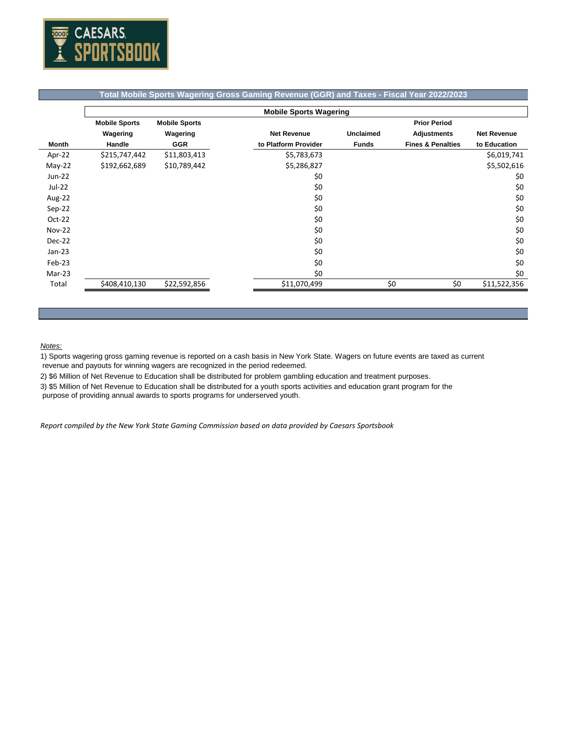

## **Total Mobile Sports Wagering Gross Gaming Revenue (GGR) and Taxes - Fiscal Year 2022/2023**

|               | <b>Mobile Sports Wagering</b> |                      |                      |                  |                              |                    |  |  |
|---------------|-------------------------------|----------------------|----------------------|------------------|------------------------------|--------------------|--|--|
|               | <b>Mobile Sports</b>          | <b>Mobile Sports</b> |                      |                  | <b>Prior Period</b>          |                    |  |  |
|               | Wagering                      | Wagering             | <b>Net Revenue</b>   | <b>Unclaimed</b> | <b>Adjustments</b>           | <b>Net Revenue</b> |  |  |
| <b>Month</b>  | Handle                        | <b>GGR</b>           | to Platform Provider | <b>Funds</b>     | <b>Fines &amp; Penalties</b> | to Education       |  |  |
| Apr-22        | \$215,747,442                 | \$11,803,413         | \$5,783,673          |                  |                              | \$6,019,741        |  |  |
| $May-22$      | \$192,662,689                 | \$10,789,442         | \$5,286,827          |                  |                              | \$5,502,616        |  |  |
| <b>Jun-22</b> |                               |                      | \$0                  |                  |                              | \$0                |  |  |
| Jul-22        |                               |                      | \$0                  |                  |                              | \$0                |  |  |
| Aug-22        |                               |                      | \$0                  |                  |                              | \$0                |  |  |
| Sep-22        |                               |                      | \$0                  |                  |                              | \$0                |  |  |
| $Oct-22$      |                               |                      | \$0                  |                  |                              | \$0                |  |  |
| <b>Nov-22</b> |                               |                      | \$0                  |                  |                              | \$0                |  |  |
| <b>Dec-22</b> |                               |                      | \$0                  |                  |                              | \$0                |  |  |
| $Jan-23$      |                               |                      | \$0                  |                  |                              | \$0                |  |  |
| Feb-23        |                               |                      | \$0                  |                  |                              | \$0                |  |  |
| Mar-23        |                               |                      | \$0                  |                  |                              | \$0                |  |  |
| Total         | \$408,410,130                 | \$22,592,856         | \$11,070,499         | \$0              | \$0                          | \$11,522,356       |  |  |

## *Notes:*

1) Sports wagering gross gaming revenue is reported on a cash basis in New York State. Wagers on future events are taxed as current revenue and payouts for winning wagers are recognized in the period redeemed.

2) \$6 Million of Net Revenue to Education shall be distributed for problem gambling education and treatment purposes.

3) \$5 Million of Net Revenue to Education shall be distributed for a youth sports activities and education grant program for the

purpose of providing annual awards to sports programs for underserved youth.

*Report compiled by the New York State Gaming Commission based on data provided by Caesars Sportsbook*